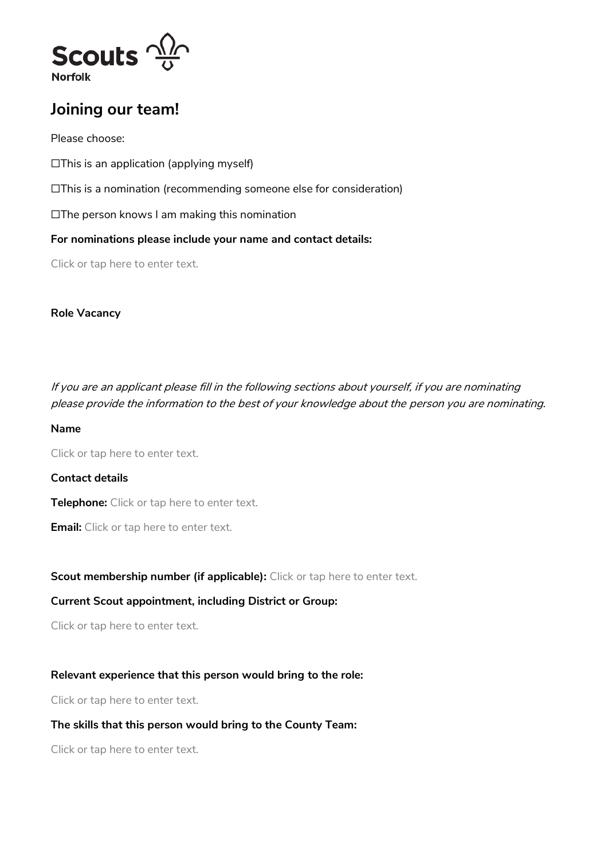

# **Joining our team!**

Please choose:

☐This is an application (applying myself)

☐This is a nomination (recommending someone else for consideration)

☐The person knows I am making this nomination

**For nominations please include your name and contact details:**

Click or tap here to enter text.

### **Role Vacancy**

If you are an applicant please fill in the following sections about yourself, if you are nominating please provide the information to the best of your knowledge about the person you are nominating.

#### **Name**

Click or tap here to enter text.

# **Contact details**

**Telephone:** Click or tap here to enter text.

**Email:** Click or tap here to enter text.

**Scout membership number (if applicable):** Click or tap here to enter text.

# **Current Scout appointment, including District or Group:**

Click or tap here to enter text.

# **Relevant experience that this person would bring to the role:**

Click or tap here to enter text.

# **The skills that this person would bring to the County Team:**

Click or tap here to enter text.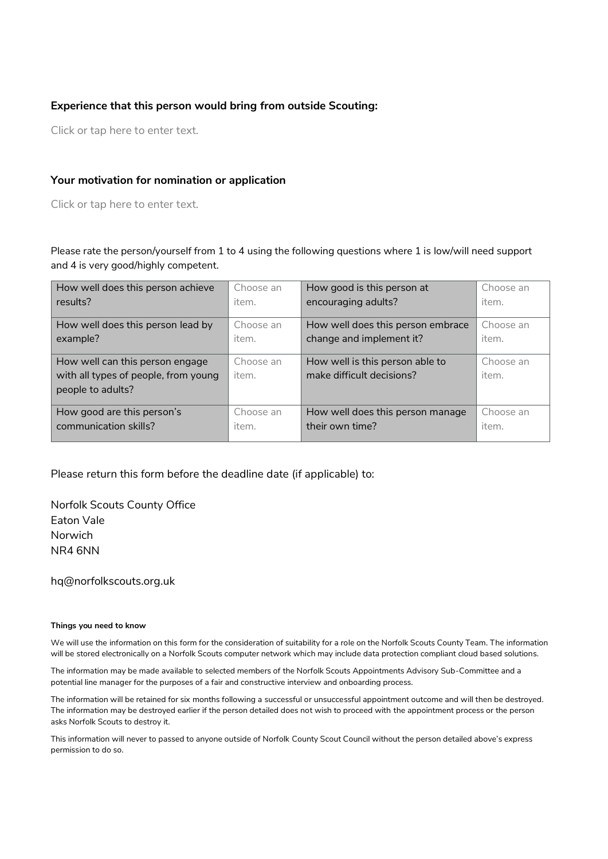#### **Experience that this person would bring from outside Scouting:**

Click or tap here to enter text.

#### **Your motivation for nomination or application**

Click or tap here to enter text.

Please rate the person/yourself from 1 to 4 using the following questions where 1 is low/will need support and 4 is very good/highly competent.

| How well does this person achieve                                                            | Choose an          | How good is this person at                                   | Choose an          |
|----------------------------------------------------------------------------------------------|--------------------|--------------------------------------------------------------|--------------------|
| results?                                                                                     | item.              | encouraging adults?                                          | item.              |
| How well does this person lead by                                                            | Choose an          | How well does this person embrace                            | Choose an          |
| example?                                                                                     | item.              | change and implement it?                                     | item.              |
| How well can this person engage<br>with all types of people, from young<br>people to adults? | Choose an<br>item. | How well is this person able to<br>make difficult decisions? | Choose an<br>item. |
| How good are this person's                                                                   | Choose an          | How well does this person manage                             | Choose an          |
| communication skills?                                                                        | item.              | their own time?                                              | item.              |

Please return this form before the deadline date (if applicable) to:

Norfolk Scouts County Office Eaton Vale Norwich NR4 6NN

hq@norfolkscouts.org.uk

#### **Things you need to know**

We will use the information on this form for the consideration of suitability for a role on the Norfolk Scouts County Team. The information will be stored electronically on a Norfolk Scouts computer network which may include data protection compliant cloud based solutions.

The information may be made available to selected members of the Norfolk Scouts Appointments Advisory Sub-Committee and a potential line manager for the purposes of a fair and constructive interview and onboarding process.

The information will be retained for six months following a successful or unsuccessful appointment outcome and will then be destroyed. The information may be destroyed earlier if the person detailed does not wish to proceed with the appointment process or the person asks Norfolk Scouts to destroy it.

This information will never to passed to anyone outside of Norfolk County Scout Council without the person detailed above's express permission to do so.